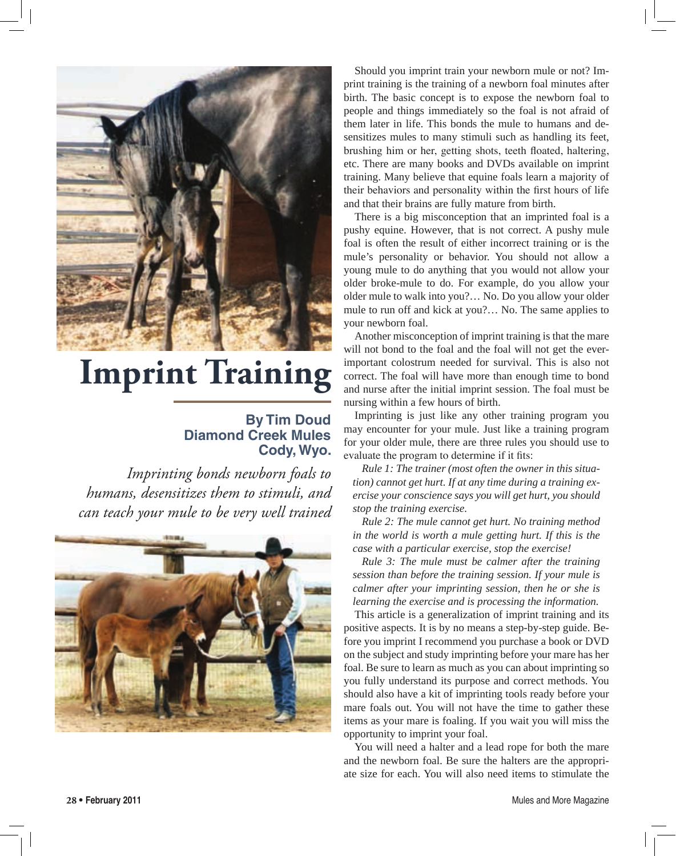

## **Imprint Training**

## **By Tim Doud Diamond Creek Mules Cody, Wyo.**

*Imprinting bonds newborn foals to humans, desensitizes them to stimuli, and can teach your mule to be very well trained* 



Should you imprint train your newborn mule or not? Imprint training is the training of a newborn foal minutes after birth. The basic concept is to expose the newborn foal to people and things immediately so the foal is not afraid of them later in life. This bonds the mule to humans and desensitizes mules to many stimuli such as handling its feet, brushing him or her, getting shots, teeth floated, haltering, etc. There are many books and DVDs available on imprint training. Many believe that equine foals learn a majority of their behaviors and personality within the first hours of life and that their brains are fully mature from birth.

There is a big misconception that an imprinted foal is a pushy equine. However, that is not correct. A pushy mule foal is often the result of either incorrect training or is the mule's personality or behavior. You should not allow a young mule to do anything that you would not allow your older broke-mule to do. For example, do you allow your older mule to walk into you?… No. Do you allow your older mule to run off and kick at you?… No. The same applies to your newborn foal.

Another misconception of imprint training is that the mare will not bond to the foal and the foal will not get the everimportant colostrum needed for survival. This is also not correct. The foal will have more than enough time to bond and nurse after the initial imprint session. The foal must be nursing within a few hours of birth.

Imprinting is just like any other training program you may encounter for your mule. Just like a training program for your older mule, there are three rules you should use to evaluate the program to determine if it fits:

*Rule 1: The trainer (most often the owner in this situation) cannot get hurt. If at any time during a training exercise your conscience says you will get hurt, you should stop the training exercise.*

*Rule 2: The mule cannot get hurt. No training method in the world is worth a mule getting hurt. If this is the case with a particular exercise, stop the exercise!*

*Rule 3: The mule must be calmer after the training session than before the training session. If your mule is calmer after your imprinting session, then he or she is learning the exercise and is processing the information.*

This article is a generalization of imprint training and its positive aspects. It is by no means a step-by-step guide. Before you imprint I recommend you purchase a book or DVD on the subject and study imprinting before your mare has her foal. Be sure to learn as much as you can about imprinting so you fully understand its purpose and correct methods. You should also have a kit of imprinting tools ready before your mare foals out. You will not have the time to gather these items as your mare is foaling. If you wait you will miss the opportunity to imprint your foal.

You will need a halter and a lead rope for both the mare and the newborn foal. Be sure the halters are the appropriate size for each. You will also need items to stimulate the